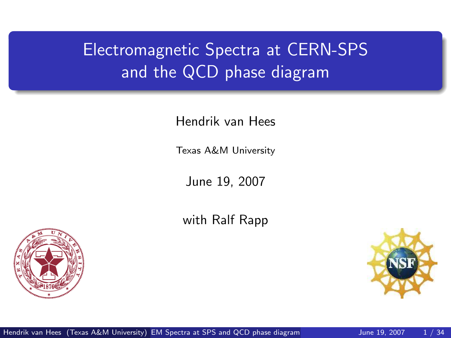# Electromagnetic Spectra at CERN-SPS and the QCD phase diagram

Hendrik van Hees

Texas A&M University

June 19, 2007

with Ralf Rapp



<span id="page-0-0"></span>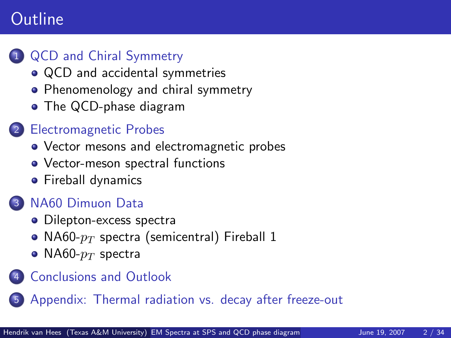### **Outline**

#### **QCD** and Chiral Symmetry

- [QCD and accidental symmetries](#page-2-0)
- [Phenomenology and chiral symmetry](#page-3-0)
- [The QCD-phase diagram](#page-4-0)

#### **[Electromagnetic Probes](#page-6-0)**

- [Vector mesons and electromagnetic probes](#page-7-0)
- [Vector-meson spectral functions](#page-11-0)
- **•** [Fireball dynamics](#page-16-0)

#### [NA60 Dimuon Data](#page-19-0)

- [Dilepton-excess spectra](#page-19-0)
- NA60- $p_T$  [spectra \(semicentral\) Fireball 1](#page-26-0)
- NA60- $p_T$  [spectra](#page-30-0)

#### **[Conclusions and Outlook](#page-32-0)**

[Appendix: Thermal radiation vs. decay after freeze-out](#page-33-0)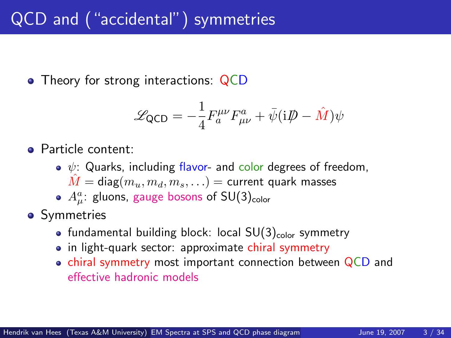## QCD and ("accidental") symmetries

• Theory for strong interactions: QCD

<span id="page-2-0"></span>
$$
\mathcal{L}_{\text{QCD}} = -\frac{1}{4} F_a^{\mu\nu} F_{\mu\nu}^a + \bar{\psi} (i\rlap{\,/}D - \hat{M}) \psi
$$

- **•** Particle content:
	- $\bullet \psi$ : Quarks, including flavor- and color degrees of freedom,  $\hat{M} = \text{diag}(m_u, m_d, m_s, \ldots) = \text{current quark masses}$
	- $A^a_\mu$ : gluons, gauge bosons of SU(3) $_{\sf color}$
- Symmetries
	- fundamental building block: local  $SU(3)_{\text{color}}$  symmetry
	- in light-quark sector: approximate chiral symmetry
	- chiral symmetry most important connection between  $QCD$  and effective hadronic models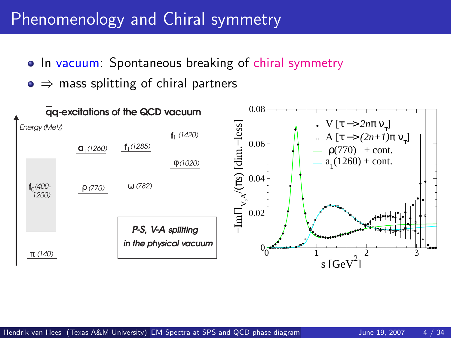### Phenomenology and Chiral symmetry

- In vacuum: Spontaneous breaking of chiral symmetry
- <span id="page-3-0"></span> $\bullet \Rightarrow$  mass splitting of chiral partners

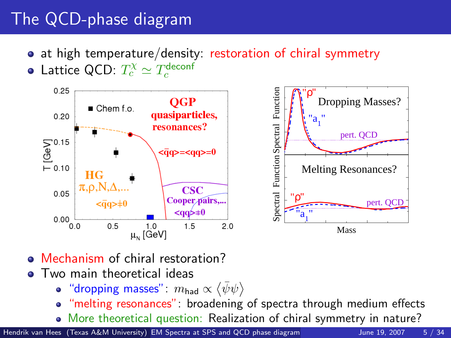# The QCD-phase diagram

- at high temperature/density: restoration of chiral symmetry
- Lattice QCD:  $T_c^{\chi} \simeq T_c^{\rm deconf}$



- Mechanism of chiral restoration?
- **•** Two main theoretical ideas
	- "dropping masses":  $m_{\textsf{had}} \propto \langle \bar{\psi}\psi \rangle$
	- "melting resonances": broadening of spectra through medium effects
	- More theoretical question: Realization of chiral symmetry in nature?

Hendrik van Hees (Texas A&M University) [EM Spectra at SPS and QCD phase diagram](#page-0-0) June 19, 2007 5 / 34

<span id="page-4-0"></span>

pert. QCD

Mass

pert. QCD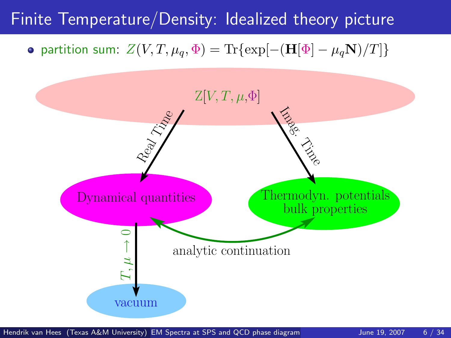### Finite Temperature/Density: Idealized theory picture

 $\bullet$  partition sum:  $Z(V, T, \mu_q, \Phi) = \text{Tr}\{\exp[-(\mathbf{H}[\Phi] - \mu_q \mathbf{N})/T]\}$ 

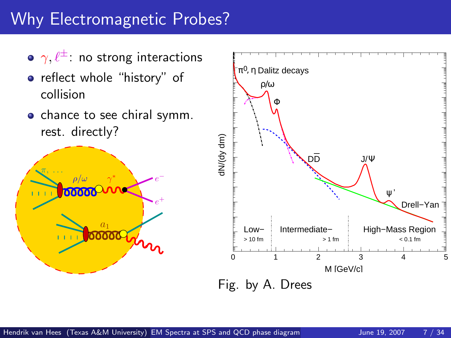# Why Electromagnetic Probes?



- reflect whole "history" of collision
- chance to see chiral symm. rest. directly?



<span id="page-6-0"></span>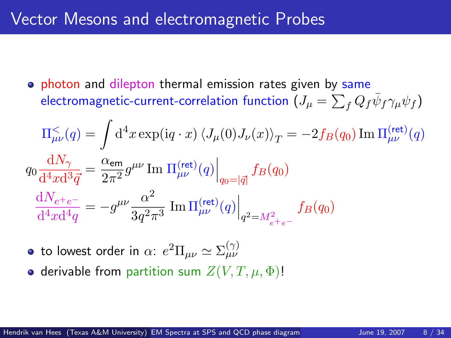#### Vector Mesons and electromagnetic Probes

**•** photon and dilepton thermal emission rates given by same electromagnetic-current-correlation function  $(J_\mu = \sum_f Q_f \bar{\psi}_f \gamma_\mu \psi_f)$ 

$$
\Pi_{\mu\nu}^{\leq}(q) = \int d^4x \exp(iq \cdot x) \left\langle J_{\mu}(0)J_{\nu}(x) \right\rangle_T = -2f_B(q_0) \operatorname{Im} \Pi_{\mu\nu}^{\text{(ret)}}(q)
$$
\n
$$
q_0 \frac{dN_{\gamma}}{d^4x d^3 \vec{q}} = \frac{\alpha_{\text{em}}}{2\pi^2} g^{\mu\nu} \operatorname{Im} \Pi_{\mu\nu}^{\text{(ret)}}(q) \Big|_{q_0 = |\vec{q}|} f_B(q_0)
$$
\n
$$
\frac{dN_{e^+e^-}}{d^4x d^4 q} = -g^{\mu\nu} \frac{\alpha^2}{3q^2 \pi^3} \operatorname{Im} \Pi_{\mu\nu}^{\text{(ret)}}(q) \Big|_{q^2 = M_{e^+e^-}^2} f_B(q_0)
$$

- to lowest order in  $\alpha\text{: }e^2 \Pi_{\mu\nu} \simeq \Sigma_{\mu\nu}^{(\gamma)}$
- <span id="page-7-0"></span>• derivable from partition sum  $Z(V, T, \mu, \Phi)$ !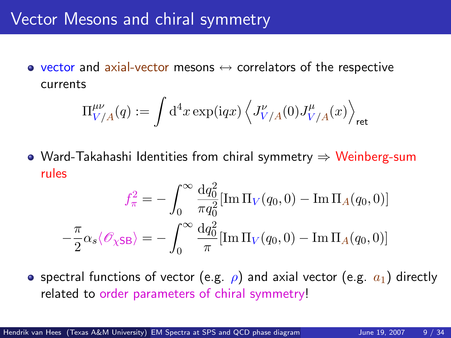#### Vector Mesons and chiral symmetry

• vector and axial-vector mesons  $\leftrightarrow$  correlators of the respective currents

$$
\Pi^{\mu\nu}_{V/A}(q):=\int\mathrm{d}^4x\exp(\mathrm{i} qx)\left\langle J^{\nu}_{V/A}(0)J^{\mu}_{V/A}(x)\right\rangle_{\rm ret}
$$

Ward-Takahashi Identities from chiral symmetry ⇒ Weinberg-sum rules

$$
f_{\pi}^2 = -\int_0^{\infty} \frac{\mathrm{d}q_0^2}{\pi q_0^2} [\text{Im}\,\Pi_V(q_0, 0) - \text{Im}\,\Pi_A(q_0, 0)]
$$

$$
-\frac{\pi}{2}\alpha_s \langle \mathcal{O}_{\chi \text{SB}} \rangle = -\int_0^{\infty} \frac{\mathrm{d}q_0^2}{\pi} [\text{Im}\,\Pi_V(q_0, 0) - \text{Im}\,\Pi_A(q_0, 0)]
$$

• spectral functions of vector (e.g.  $\rho$ ) and axial vector (e.g.  $a_1$ ) directly related to order parameters of chiral symmetry!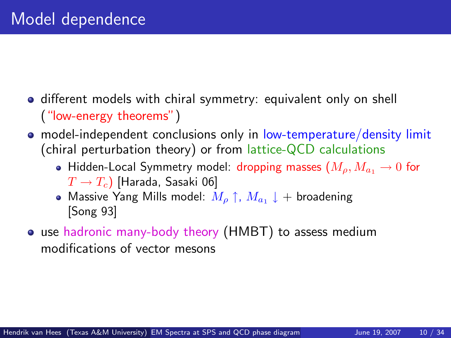- **o** different models with chiral symmetry: equivalent only on shell ("low-energy theorems")
- model-independent conclusions only in low-temperature/density limit (chiral perturbation theory) or from lattice-QCD calculations
	- Hidden-Local Symmetry model: dropping masses  $(M_o, M_a, \rightarrow 0$  for  $T \rightarrow T_c$ ) [Harada, Sasaki 06]
	- Massive Yang Mills model:  $M_\rho \uparrow$ ,  $M_{a_1} \downarrow +$  broadening [Song 93]
- use hadronic many-body theory (HMBT) to assess medium modifications of vector mesons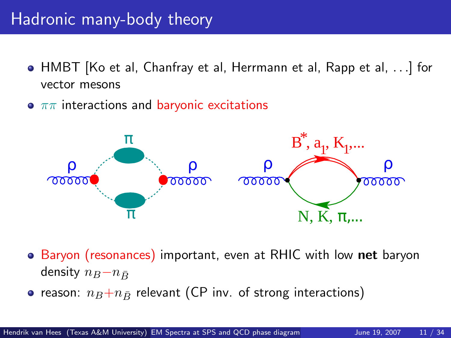### Hadronic many-body theory

- HMBT [Ko et al, Chanfray et al, Herrmann et al, Rapp et al, . . .] for vector mesons
- $\bullet$   $\pi\pi$  interactions and baryonic excitations



• Baryon (resonances) important, even at RHIC with low net baryon density  $n_B-n_B$ 

• reason:  $n_B+n_{\bar{B}}$  relevant (CP inv. of strong interactions)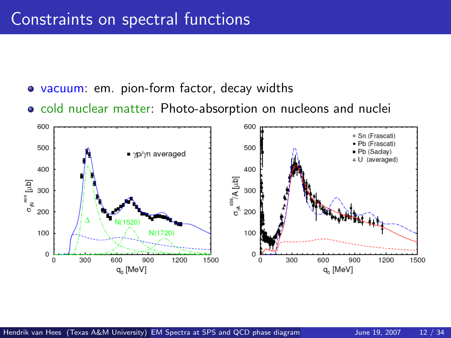- vacuum: em. pion-form factor, decay widths
- <span id="page-11-0"></span>o cold nuclear matter: Photo-absorption on nucleons and nuclei

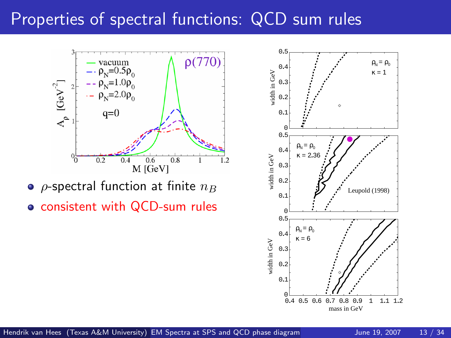#### Properties of spectral functions: QCD sum rules



 $\circ$  *ρ*-spectral function at finite  $n_B$ 

consistent with QCD-sum rules

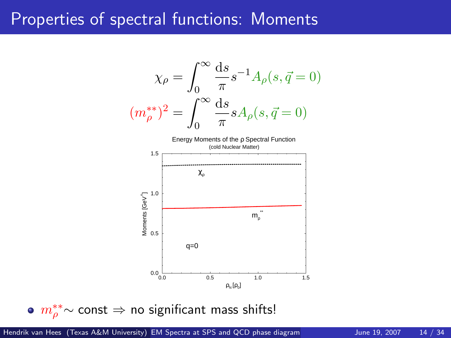#### Properties of spectral functions: Moments



 $m^{**}_{\rho}$ ∼ const  $\Rightarrow$  no significant mass shifts!

Hendrik van Hees (Texas A&M University) [EM Spectra at SPS and QCD phase diagram](#page-0-0) June 19, 2007 14 / 34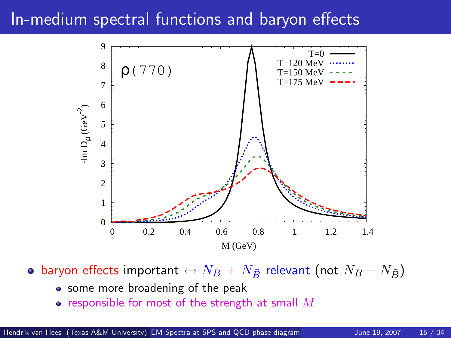### In-medium spectral functions and baryon effects



• baryon effects important  $\leftrightarrow N_B + N_{\bar{B}}$  relevant (not  $N_B - N_{\bar{B}}$ )

- some more broadening of the peak
- responsible for most of the strength at small  $M$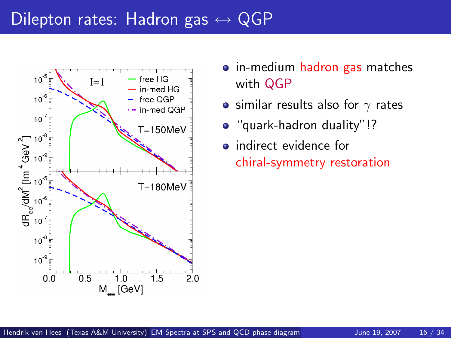### Dilepton rates: Hadron gas  $\leftrightarrow$  QGP



- in-medium hadron gas matches with QGP
- similar results also for  $\gamma$  rates
- "quark-hadron duality"!?
- **•** indirect evidence for chiral-symmetry restoration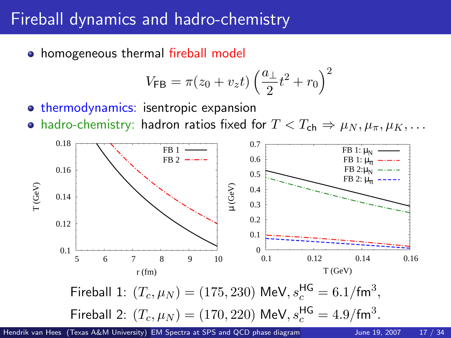### Fireball dynamics and hadro-chemistry

• homogeneous thermal fireball model

<span id="page-16-0"></span>
$$
V_{\mathsf{FB}} = \pi (z_0 + v_z t) \left(\frac{a_\perp}{2} t^2 + r_0\right)^2
$$

- **o** thermodynamics: isentropic expansion
- hadro-chemistry: hadron ratios fixed for  $T < T_{ch} \Rightarrow \mu_N, \mu_\pi, \mu_K, \ldots$



Hendrik van Hees (Texas A&M University) [EM Spectra at SPS and QCD phase diagram](#page-0-0) June 19, 2007 17 / 34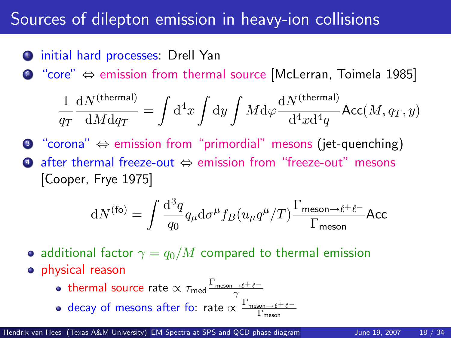#### Sources of dilepton emission in heavy-ion collisions

initial hard processes: Drell Yan

<sup>2</sup> "core" ⇔ emission from thermal source [McLerran, Toimela 1985]

$$
\frac{1}{q_T}\frac{\mathrm{d}N^{\text{(thermal)}}}{\mathrm{d}M\mathrm{d}q_T} = \int \mathrm{d}^4x \int \mathrm{d}y \int M\mathrm{d}\varphi \frac{\mathrm{d}N^{\text{(thermal)}}}{\mathrm{d}^4x\mathrm{d}^4q} \mathsf{Acc}(M,q_T,y)
$$

<sup>3</sup> "corona" ⇔ emission from "primordial" mesons (jet-quenching) <sup>4</sup> after thermal freeze-out ⇔ emission from "freeze-out" mesons [Cooper, Frye 1975]

$$
\mathrm{d}N^{(\rm fo)}=\int\frac{\mathrm{d}^3q}{q_0}q_\mu\mathrm{d}\sigma^\mu f_B(u_\mu q^\mu/T)\frac{\Gamma_{\rm meson\to\ell^+\ell^-}}{\Gamma_{\rm meson}}\mathrm{Acc}
$$

- additional factor  $\gamma = q_0/M$  compared to thermal emission
- **o** physical reason
	- thermal source rate  $\propto \tau_{\sf med} \frac{\Gamma_{\sf meson\to \ell^+\ell^-}}{\gamma}$
	- decay of mesons after fo: rate  $\propto \frac{\Gamma_{\rm meson\rightarrow \ell^+\ell^-}}{\Gamma_{\rm meson}}$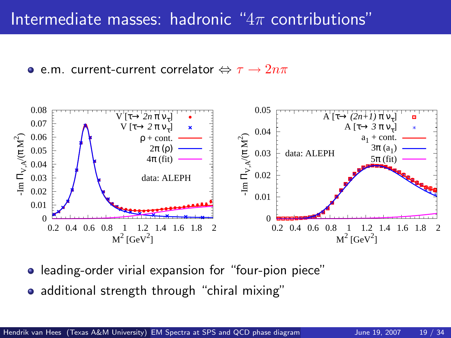**e** e.m. current-current correlator  $\Leftrightarrow \tau \rightarrow 2n\pi$ 



- leading-order virial expansion for "four-pion piece"
- additional strength through "chiral mixing"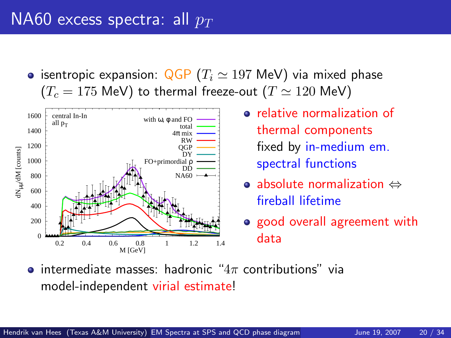### NA60 excess spectra: all  $p_T$

• isentropic expansion:  $QGP (T_i \approx 197 \text{ MeV})$  via mixed phase  $(T_c = 175 \text{ MeV})$  to thermal freeze-out  $(T \simeq 120 \text{ MeV})$ 



- **•** relative normalization of thermal components fixed by in-medium em. spectral functions
- absolute normalization ⇔ fireball lifetime
- <span id="page-19-0"></span>o good overall agreement with data
- **•** intermediate masses: hadronic " $4\pi$  contributions" via model-independent virial estimate!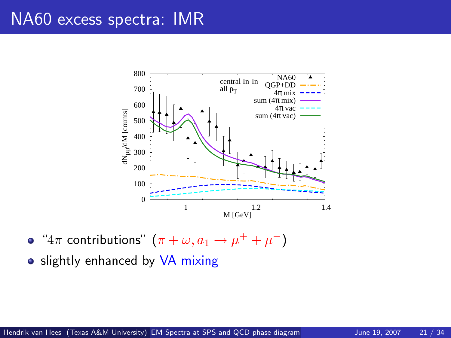#### NA60 excess spectra: IMR



" $4\pi$  contributions"  $(\pi + \omega, a_1 \rightarrow \mu^+ + \mu^-)$ 

• slightly enhanced by VA mixing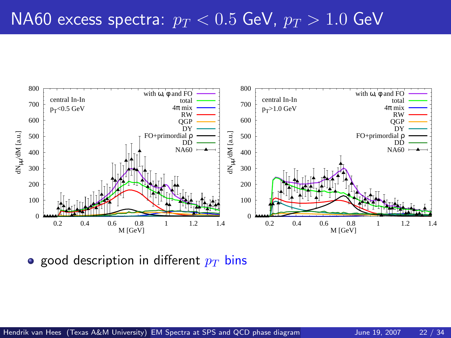

**•** good description in different  $p_T$  bins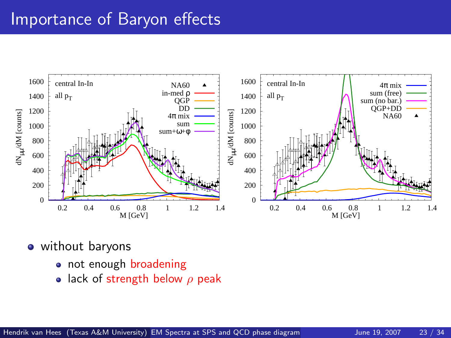### Importance of Baryon effects



• without baryons

- not enough broadening
- lack of strength below  $\rho$  peak  $\bullet$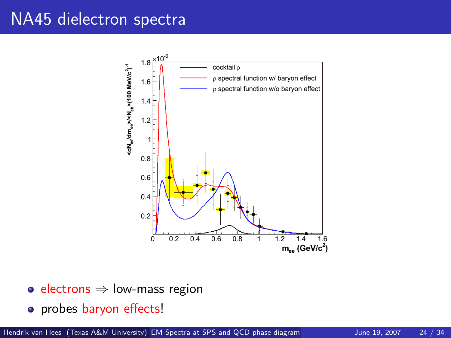#### NA45 dielectron spectra



- electrons  $\Rightarrow$  low-mass region
- probes baryon effects!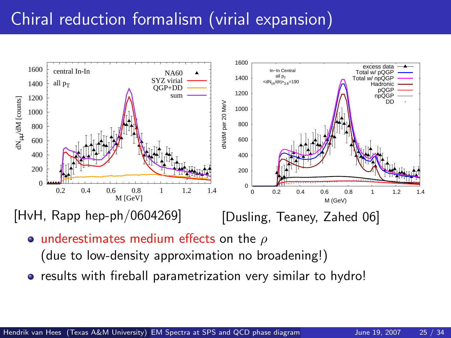## Chiral reduction formalism (virial expansion)



[HvH, Rapp hep-ph/0604269]

[Dusling, Teaney, Zahed 06]

- underestimates medium effects on the  $\rho$ (due to low-density approximation no broadening!)
- results with fireball parametrization very similar to hydro!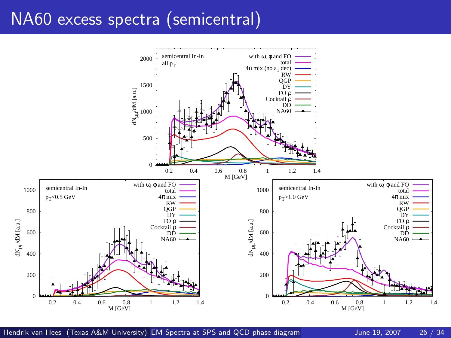## NA60 excess spectra (semicentral)



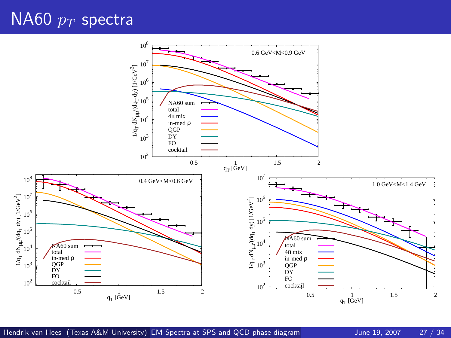## $N$ A60  $p_T$  spectra

<span id="page-26-0"></span>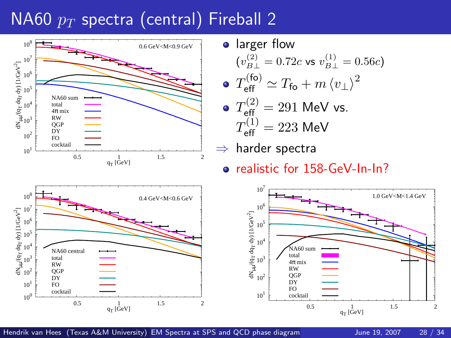# $N$ A60  $p_T$  spectra (central) Fireball 2



**•** larger flow  $(v_{B\perp}^{(2)}=0.72c$  vs  $v_{B\perp}^{(1)}=0.56c)$  $(f<sub>0</sub>)$ 

$$
\bullet \; T_{\text{eff}}^{(\text{to})} \simeq T_{\text{fo}} + m \left\langle v_{\perp} \right\rangle^2
$$

• 
$$
T_{\text{eff}}^{(2)} = 291 \text{ MeV vs.}
$$
  
 $T_{\text{eff}}^{(1)} = 223 \text{ MeV}$ 

harder spectra

realistic for 158-GeV-In-In?



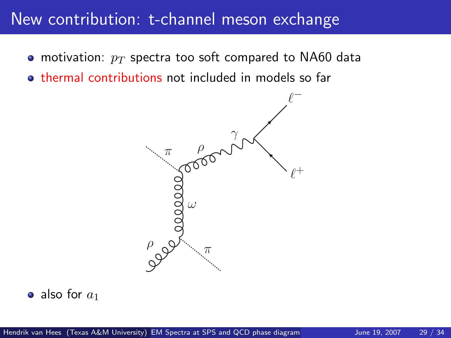#### New contribution: t-channel meson exchange

- motivation:  $p_T$  spectra too soft compared to NA60 data
- **thermal contributions not included in models so far**



• also for  $a_1$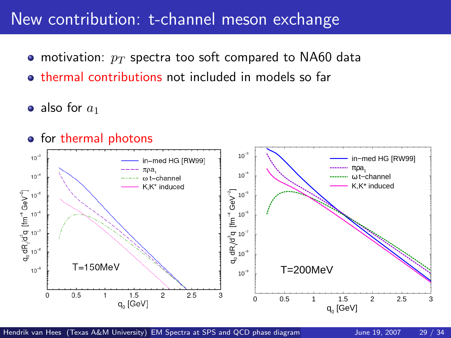#### New contribution: t-channel meson exchange

- motivation:  $p_T$  spectra too soft compared to NA60 data
- thermal contributions not included in models so far
- also for  $a_1$

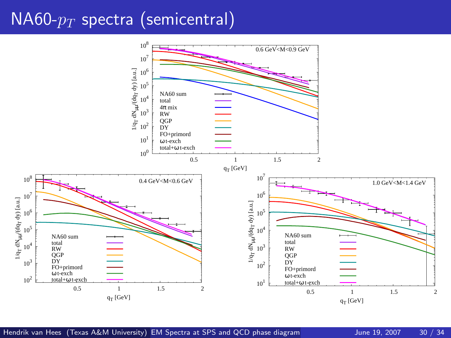### $NAG0-p_T$  spectra (semicentral)

<span id="page-30-0"></span>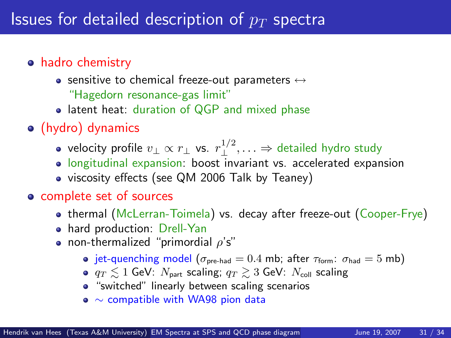#### hadro chemistry

- sensitive to chemical freeze-out parameters  $\leftrightarrow$ "Hagedorn resonance-gas limit"
- latent heat: duration of QGP and mixed phase

#### (hydro) dynamics

- velocity profile  $v_\perp \propto r_\perp$  vs.  $r_\perp^{1/2}, \ldots \Rightarrow$  detailed hydro study
- longitudinal expansion: boost invariant vs. accelerated expansion
- viscosity effects (see QM 2006 Talk by Teaney)

#### complete set of sources

- thermal (McLerran-Toimela) vs. decay after freeze-out (Cooper-Frye)
- hard production: Drell-Yan
- non-thermalized "primordial  $\rho$ 's"
	- jet-quenching model ( $\sigma_{pre\text{-}had} = 0.4$  mb; after  $\tau_{form}$ :  $\sigma_{had} = 5$  mb)
	- $q_T \leq 1$  GeV:  $N_{part}$  scaling;  $q_T \geq 3$  GeV:  $N_{coll}$  scaling
	- **•** "switched" linearly between scaling scenarios
	- ∼ compatible with WA98 pion data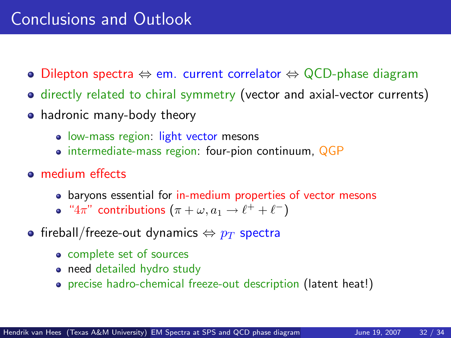## Conclusions and Outlook

- Dilepton spectra  $\Leftrightarrow$  em. current correlator  $\Leftrightarrow$  QCD-phase diagram
- directly related to chiral symmetry (vector and axial-vector currents)
- hadronic many-body theory
	- **·** low-mass region: light vector mesons
	- intermediate-mass region: four-pion continuum, QGP
- **e** medium effects
	- baryons essential for in-medium properties of vector mesons
	- " $4\pi$ " contributions  $(\pi + \omega, a_1 \rightarrow \ell^+ + \ell^-)$
- <span id="page-32-0"></span>• fireball/freeze-out dynamics  $\Leftrightarrow$   $p_T$  spectra
	- complete set of sources
	- need detailed hydro study
	- precise hadro-chemical freeze-out description (latent heat!)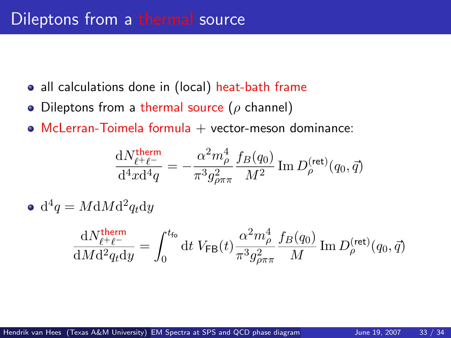- all calculations done in (local) heat-bath frame
- Dileptons from a thermal source ( $\rho$  channel)
- $\bullet$  McLerran-Toimela formula  $+$  vector-meson dominance:

<span id="page-33-0"></span>
$$
\frac{\mathrm{d} N^{\rm therm}_{\ell^+\ell^-}}{\mathrm{d}^4x\mathrm{d}^4q} = -\frac{\alpha^2m_\rho^4}{\pi^3g_{\rho\pi\pi}^2}\frac{f_B(q_0)}{M^2}\,\mathrm{Im}\,D_\rho^{\mathrm{(ret)}}(q_0,\vec{q})
$$

 $d^4q = M dM d^2q_t dy$ 

$$
\frac{\mathrm{d}N_{\ell^+\ell^-}^{\text{therm}}}{\mathrm{d}M\mathrm{d}^2q_t\mathrm{d}y} = \int_0^{t_{\text{fo}}} \mathrm{d}t \ V_{\text{FB}}(t) \frac{\alpha^2 m_\rho^4}{\pi^3 g_{\rho\pi\pi}^2} \frac{f_B(q_0)}{M} \operatorname{Im} D_\rho^{(\text{ret})}(q_0, \vec{q})
$$